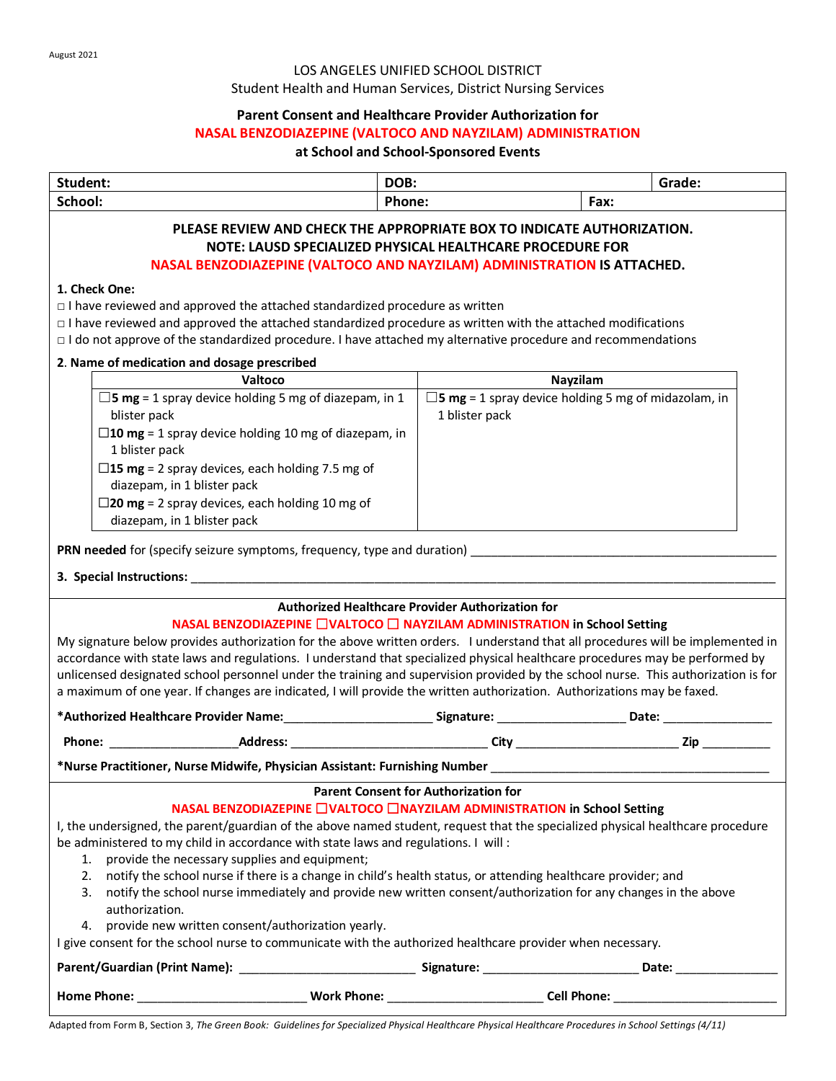# LOS ANGELES UNIFIED SCHOOL DISTRICT

Student Health and Human Services, District Nursing Services

# **Parent Consent and Healthcare Provider Authorization for**

#### **NASAL BENZODIAZEPINE (VALTOCO AND NAYZILAM) ADMINISTRATION**

# **at School and School-Sponsored Events**

| Student:                                                                                                                                                                                                                                                                                                                                                                                                                                                                                                                                                                                                                                                                                                                                                                                                                                        | DOB:   |                                                                                                                |                    | Grade:                                                                                                                                                                                                                         |  |  |  |  |
|-------------------------------------------------------------------------------------------------------------------------------------------------------------------------------------------------------------------------------------------------------------------------------------------------------------------------------------------------------------------------------------------------------------------------------------------------------------------------------------------------------------------------------------------------------------------------------------------------------------------------------------------------------------------------------------------------------------------------------------------------------------------------------------------------------------------------------------------------|--------|----------------------------------------------------------------------------------------------------------------|--------------------|--------------------------------------------------------------------------------------------------------------------------------------------------------------------------------------------------------------------------------|--|--|--|--|
| School:                                                                                                                                                                                                                                                                                                                                                                                                                                                                                                                                                                                                                                                                                                                                                                                                                                         | Phone: |                                                                                                                | Fax:               |                                                                                                                                                                                                                                |  |  |  |  |
| PLEASE REVIEW AND CHECK THE APPROPRIATE BOX TO INDICATE AUTHORIZATION.<br>NOTE: LAUSD SPECIALIZED PHYSICAL HEALTHCARE PROCEDURE FOR<br>NASAL BENZODIAZEPINE (VALTOCO AND NAYZILAM) ADMINISTRATION IS ATTACHED.                                                                                                                                                                                                                                                                                                                                                                                                                                                                                                                                                                                                                                  |        |                                                                                                                |                    |                                                                                                                                                                                                                                |  |  |  |  |
|                                                                                                                                                                                                                                                                                                                                                                                                                                                                                                                                                                                                                                                                                                                                                                                                                                                 |        |                                                                                                                |                    |                                                                                                                                                                                                                                |  |  |  |  |
| 1. Check One:<br>$\Box$ I have reviewed and approved the attached standardized procedure as written<br>$\Box$ I have reviewed and approved the attached standardized procedure as written with the attached modifications<br>$\Box$ I do not approve of the standardized procedure. I have attached my alternative procedure and recommendations                                                                                                                                                                                                                                                                                                                                                                                                                                                                                                |        |                                                                                                                |                    |                                                                                                                                                                                                                                |  |  |  |  |
| 2. Name of medication and dosage prescribed                                                                                                                                                                                                                                                                                                                                                                                                                                                                                                                                                                                                                                                                                                                                                                                                     |        |                                                                                                                |                    |                                                                                                                                                                                                                                |  |  |  |  |
| Valtoco                                                                                                                                                                                                                                                                                                                                                                                                                                                                                                                                                                                                                                                                                                                                                                                                                                         |        | Nayzilam                                                                                                       |                    |                                                                                                                                                                                                                                |  |  |  |  |
| $\square$ <b>5 mg</b> = 1 spray device holding 5 mg of diazepam, in 1<br>blister pack<br>$\square$ 10 mg = 1 spray device holding 10 mg of diazepam, in<br>1 blister pack                                                                                                                                                                                                                                                                                                                                                                                                                                                                                                                                                                                                                                                                       |        | $\square$ <b>5 mg</b> = 1 spray device holding 5 mg of midazolam, in<br>1 blister pack                         |                    |                                                                                                                                                                                                                                |  |  |  |  |
| $\Box$ 15 mg = 2 spray devices, each holding 7.5 mg of<br>diazepam, in 1 blister pack<br>$\square$ 20 mg = 2 spray devices, each holding 10 mg of<br>diazepam, in 1 blister pack                                                                                                                                                                                                                                                                                                                                                                                                                                                                                                                                                                                                                                                                |        |                                                                                                                |                    |                                                                                                                                                                                                                                |  |  |  |  |
| <b>Authorized Healthcare Provider Authorization for</b><br>NASAL BENZODIAZEPINE □VALTOCO □ NAYZILAM ADMINISTRATION in School Setting<br>My signature below provides authorization for the above written orders. I understand that all procedures will be implemented in<br>accordance with state laws and regulations. I understand that specialized physical healthcare procedures may be performed by<br>unlicensed designated school personnel under the training and supervision provided by the school nurse. This authorization is for<br>a maximum of one year. If changes are indicated, I will provide the written authorization. Authorizations may be faxed.                                                                                                                                                                         |        |                                                                                                                |                    |                                                                                                                                                                                                                                |  |  |  |  |
|                                                                                                                                                                                                                                                                                                                                                                                                                                                                                                                                                                                                                                                                                                                                                                                                                                                 |        |                                                                                                                |                    |                                                                                                                                                                                                                                |  |  |  |  |
|                                                                                                                                                                                                                                                                                                                                                                                                                                                                                                                                                                                                                                                                                                                                                                                                                                                 |        |                                                                                                                |                    |                                                                                                                                                                                                                                |  |  |  |  |
|                                                                                                                                                                                                                                                                                                                                                                                                                                                                                                                                                                                                                                                                                                                                                                                                                                                 |        |                                                                                                                |                    |                                                                                                                                                                                                                                |  |  |  |  |
| <b>Parent Consent for Authorization for</b><br>NASAL BENZODIAZEPINE □VALTOCO □NAYZILAM ADMINISTRATION in School Setting<br>I, the undersigned, the parent/guardian of the above named student, request that the specialized physical healthcare procedure<br>be administered to my child in accordance with state laws and regulations. I will:<br>provide the necessary supplies and equipment;<br>1.<br>notify the school nurse if there is a change in child's health status, or attending healthcare provider; and<br>2.<br>notify the school nurse immediately and provide new written consent/authorization for any changes in the above<br>3.<br>authorization.<br>provide new written consent/authorization yearly.<br>4.<br>I give consent for the school nurse to communicate with the authorized healthcare provider when necessary. |        |                                                                                                                |                    |                                                                                                                                                                                                                                |  |  |  |  |
|                                                                                                                                                                                                                                                                                                                                                                                                                                                                                                                                                                                                                                                                                                                                                                                                                                                 |        |                                                                                                                |                    | Date: the contract of the contract of the contract of the contract of the contract of the contract of the contract of the contract of the contract of the contract of the contract of the contract of the contract of the cont |  |  |  |  |
| <b>Home Phone:</b>                                                                                                                                                                                                                                                                                                                                                                                                                                                                                                                                                                                                                                                                                                                                                                                                                              |        | Work Phone: View Marian Maria Maria Maria Maria Maria Maria Maria Maria Maria Maria Maria Maria Maria Maria Ma | <b>Cell Phone:</b> |                                                                                                                                                                                                                                |  |  |  |  |

Adapted from Form B, Section 3, *The Green Book: Guidelines for Specialized Physical Healthcare Physical Healthcare Procedures in School Settings (4/11)*